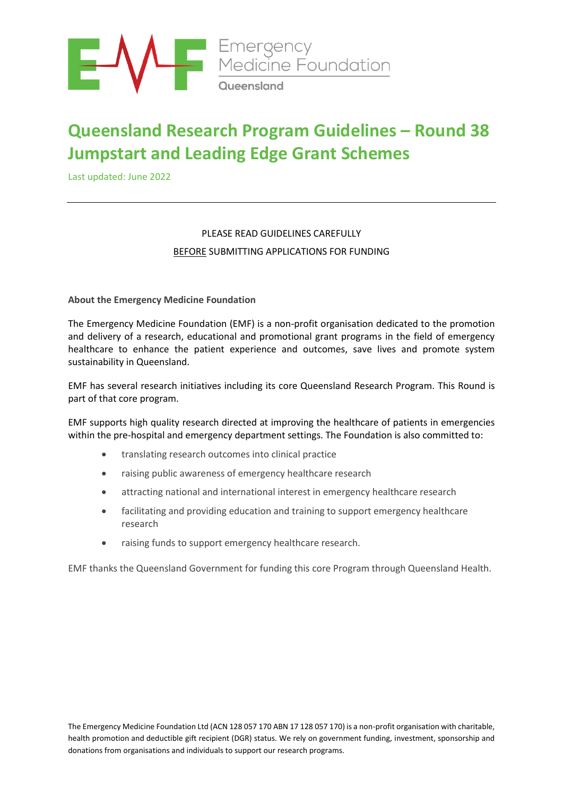

# **Queensland Research Program Guidelines – Round 38 Jumpstart and Leading Edge Grant Schemes**

Last updated: June 2022

# PLEASE READ GUIDELINES CAREFULLY BEFORE SUBMITTING APPLICATIONS FOR FUNDING

**About the Emergency Medicine Foundation**

The Emergency Medicine Foundation (EMF) is a non-profit organisation dedicated to the promotion and delivery of a research, educational and promotional grant programs in the field of emergency healthcare to enhance the patient experience and outcomes, save lives and promote system sustainability in Queensland.

EMF has several research initiatives including its core Queensland Research Program. This Round is part of that core program.

EMF supports high quality research directed at improving the healthcare of patients in emergencies within the pre-hospital and emergency department settings. The Foundation is also committed to:

- translating research outcomes into clinical practice
- raising public awareness of emergency healthcare research
- attracting national and international interest in emergency healthcare research
- facilitating and providing education and training to support emergency healthcare research
- raising funds to support emergency healthcare research.

EMF thanks the Queensland Government for funding this core Program through Queensland Health.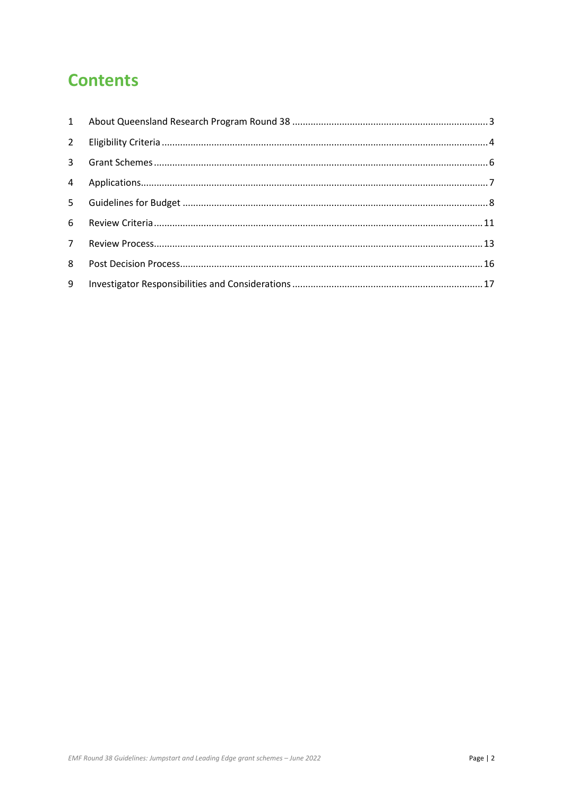# **Contents**

| $2^{\circ}$ |  |
|-------------|--|
|             |  |
|             |  |
|             |  |
| 6           |  |
| $7^{\circ}$ |  |
| 8           |  |
| 9           |  |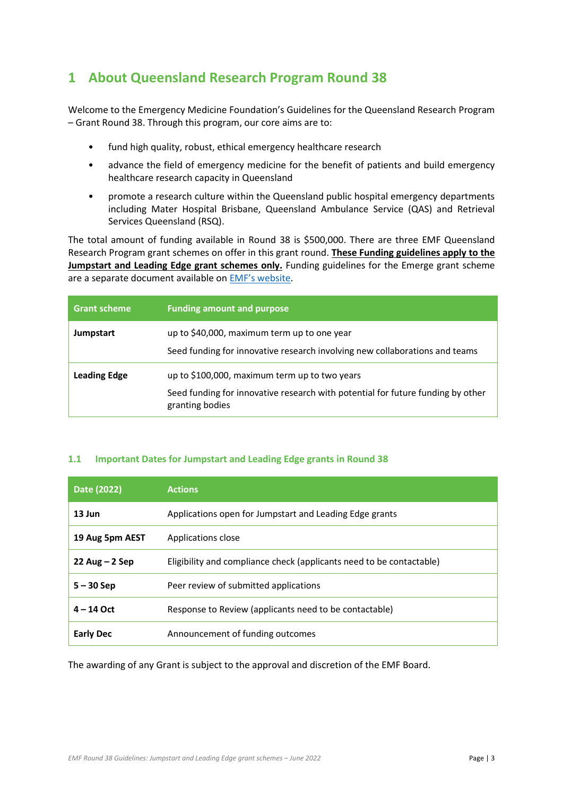# <span id="page-2-0"></span>**1 About Queensland Research Program Round 38**

Welcome to the Emergency Medicine Foundation's Guidelines for the Queensland Research Program – Grant Round 38. Through this program, our core aims are to:

- fund high quality, robust, ethical emergency healthcare research
- advance the field of emergency medicine for the benefit of patients and build emergency healthcare research capacity in Queensland
- promote a research culture within the Queensland public hospital emergency departments including Mater Hospital Brisbane, Queensland Ambulance Service (QAS) and Retrieval Services Queensland (RSQ).

The total amount of funding available in Round 38 is \$500,000. There are three EMF Queensland Research Program grant schemes on offer in this grant round. **These Funding guidelines apply to the Jumpstart and Leading Edge grant schemes only.** Funding guidelines for the Emerge grant scheme are a separate document available on [EMF's website](https://emergencyfoundation.org.au/queensland-research-program/).

| <b>Grant scheme</b> | <b>Funding amount and purpose</b>                                                                                                                   |
|---------------------|-----------------------------------------------------------------------------------------------------------------------------------------------------|
| Jumpstart           | up to \$40,000, maximum term up to one year<br>Seed funding for innovative research involving new collaborations and teams                          |
| <b>Leading Edge</b> | up to \$100,000, maximum term up to two years<br>Seed funding for innovative research with potential for future funding by other<br>granting bodies |

# **1.1 Important Dates for Jumpstart and Leading Edge grants in Round 38**

| Date (2022)      | <b>Actions</b>                                                       |
|------------------|----------------------------------------------------------------------|
| 13 Jun           | Applications open for Jumpstart and Leading Edge grants              |
| 19 Aug 5pm AEST  | Applications close                                                   |
| $22$ Aug – 2 Sep | Eligibility and compliance check (applicants need to be contactable) |
| $5 - 30$ Sep     | Peer review of submitted applications                                |
| $4 - 14$ Oct     | Response to Review (applicants need to be contactable)               |
| <b>Early Dec</b> | Announcement of funding outcomes                                     |

The awarding of any Grant is subject to the approval and discretion of the EMF Board.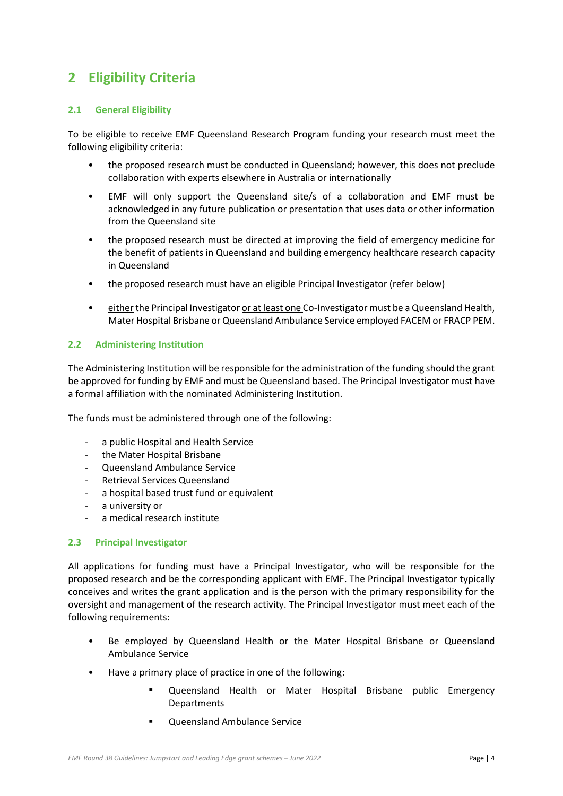# <span id="page-3-0"></span>**2 Eligibility Criteria**

## **2.1 General Eligibility**

To be eligible to receive EMF Queensland Research Program funding your research must meet the following eligibility criteria:

- the proposed research must be conducted in Queensland; however, this does not preclude collaboration with experts elsewhere in Australia or internationally
- EMF will only support the Queensland site/s of a collaboration and EMF must be acknowledged in any future publication or presentation that uses data or other information from the Queensland site
- the proposed research must be directed at improving the field of emergency medicine for the benefit of patients in Queensland and building emergency healthcare research capacity in Queensland
- the proposed research must have an eligible Principal Investigator (refer below)
- either the Principal Investigator or at least one Co-Investigator must be a Queensland Health, Mater Hospital Brisbane or Queensland Ambulance Service employed FACEM or FRACP PEM.

## **2.2 Administering Institution**

The Administering Institution will be responsible for the administration of the funding should the grant be approved for funding by EMF and must be Queensland based. The Principal Investigator must have a formal affiliation with the nominated Administering Institution.

The funds must be administered through one of the following:

- a public Hospital and Health Service
- the Mater Hospital Brisbane
- Queensland Ambulance Service
- Retrieval Services Queensland
- a hospital based trust fund or equivalent
- a university or
- a medical research institute

### <span id="page-3-1"></span>**2.3 Principal Investigator**

All applications for funding must have a Principal Investigator, who will be responsible for the proposed research and be the corresponding applicant with EMF. The Principal Investigator typically conceives and writes the grant application and is the person with the primary responsibility for the oversight and management of the research activity. The Principal Investigator must meet each of the following requirements:

- Be employed by Queensland Health or the Mater Hospital Brisbane or Queensland Ambulance Service
- Have a primary place of practice in one of the following:
	- Queensland Health or Mater Hospital Brisbane public Emergency Departments
	- **Oueensland Ambulance Service**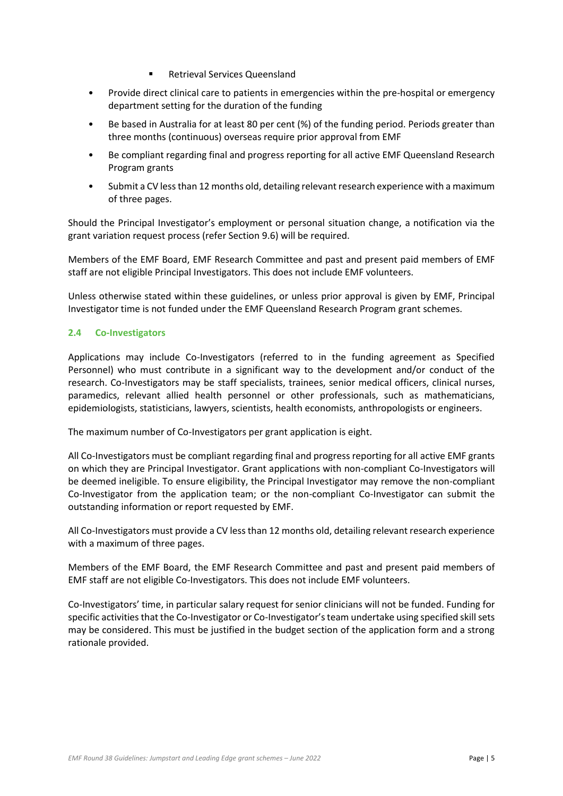- **Retrieval Services Queensland**
- Provide direct clinical care to patients in emergencies within the pre-hospital or emergency department setting for the duration of the funding
- Be based in Australia for at least 80 per cent (%) of the funding period. Periods greater than three months (continuous) overseas require prior approval from EMF
- Be compliant regarding final and progress reporting for all active EMF Queensland Research Program grants
- Submit a CV less than 12 months old, detailing relevant research experience with a maximum of three pages.

Should the Principal Investigator's employment or personal situation change, a notification via the grant variation request process (refer Section [9.6\)](#page-18-0) will be required.

Members of the EMF Board, EMF Research Committee and past and present paid members of EMF staff are not eligible Principal Investigators. This does not include EMF volunteers.

Unless otherwise stated within these guidelines, or unless prior approval is given by EMF, Principal Investigator time is not funded under the EMF Queensland Research Program grant schemes.

# **2.4 Co-Investigators**

Applications may include Co-Investigators (referred to in the funding agreement as Specified Personnel) who must contribute in a significant way to the development and/or conduct of the research. Co-Investigators may be staff specialists, trainees, senior medical officers, clinical nurses, paramedics, relevant allied health personnel or other professionals, such as mathematicians, epidemiologists, statisticians, lawyers, scientists, health economists, anthropologists or engineers.

The maximum number of Co-Investigators per grant application is eight.

All Co-Investigators must be compliant regarding final and progress reporting for all active EMF grants on which they are Principal Investigator. Grant applications with non-compliant Co-Investigators will be deemed ineligible. To ensure eligibility, the Principal Investigator may remove the non-compliant Co-Investigator from the application team; or the non-compliant Co-Investigator can submit the outstanding information or report requested by EMF.

All Co-Investigators must provide a CV less than 12 months old, detailing relevant research experience with a maximum of three pages.

Members of the EMF Board, the EMF Research Committee and past and present paid members of EMF staff are not eligible Co-Investigators. This does not include EMF volunteers.

Co-Investigators' time, in particular salary request for senior clinicians will not be funded. Funding for specific activities that the Co-Investigator or Co-Investigator's team undertake using specified skill sets may be considered. This must be justified in the budget section of the application form and a strong rationale provided.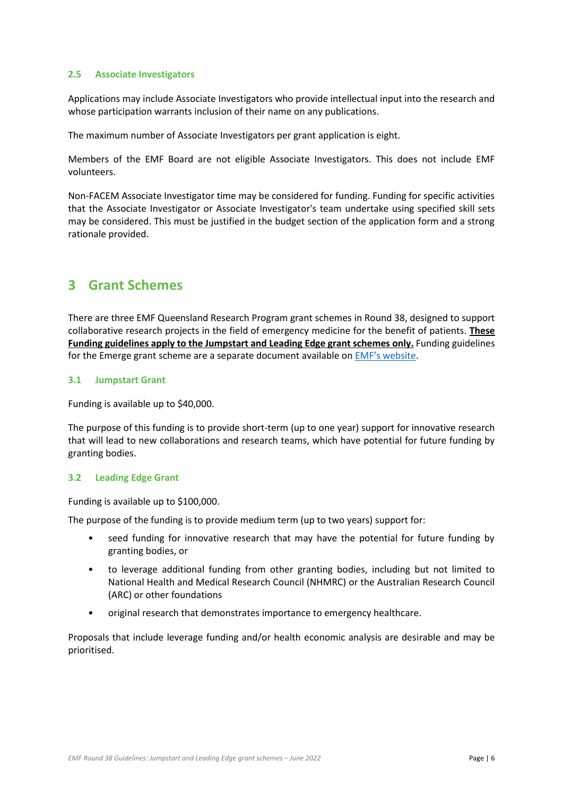### **2.5 Associate Investigators**

Applications may include Associate Investigators who provide intellectual input into the research and whose participation warrants inclusion of their name on any publications.

The maximum number of Associate Investigators per grant application is eight.

Members of the EMF Board are not eligible Associate Investigators. This does not include EMF volunteers.

Non-FACEM Associate Investigator time may be considered for funding. Funding for specific activities that the Associate Investigator or Associate Investigator's team undertake using specified skill sets may be considered. This must be justified in the budget section of the application form and a strong rationale provided.

# <span id="page-5-0"></span>**3 Grant Schemes**

There are three EMF Queensland Research Program grant schemes in Round 38, designed to support collaborative research projects in the field of emergency medicine for the benefit of patients. **These Funding guidelines apply to the Jumpstart and Leading Edge grant schemes only.** Funding guidelines for the Emerge grant scheme are a separate document available on [EMF's website](https://emergencyfoundation.org.au/queensland-research-program/).

### **3.1 Jumpstart Grant**

Funding is available up to \$40,000.

The purpose of this funding is to provide short-term (up to one year) support for innovative research that will lead to new collaborations and research teams, which have potential for future funding by granting bodies.

### **3.2 Leading Edge Grant**

Funding is available up to \$100,000.

The purpose of the funding is to provide medium term (up to two years) support for:

- seed funding for innovative research that may have the potential for future funding by granting bodies, or
- to leverage additional funding from other granting bodies, including but not limited to National Health and Medical Research Council (NHMRC) or the Australian Research Council (ARC) or other foundations
- original research that demonstrates importance to emergency healthcare.

Proposals that include leverage funding and/or health economic analysis are desirable and may be prioritised.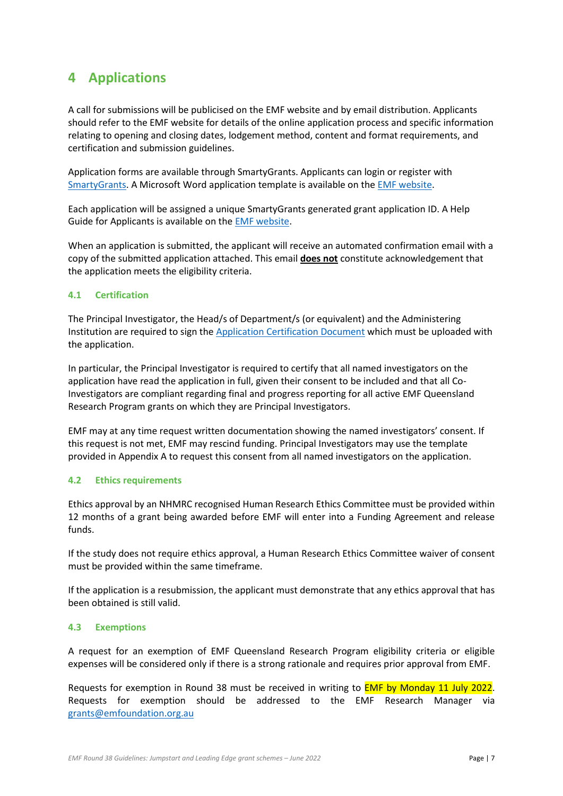# <span id="page-6-0"></span>**4 Applications**

A call for submissions will be publicised on the EMF website and by email distribution. Applicants should refer to the EMF website for details of the online application process and specific information relating to opening and closing dates, lodgement method, content and format requirements, and certification and submission guidelines.

Application forms are available through SmartyGrants. Applicants can login or register with [SmartyGrants.](https://emfqld.smartygrants.com.au/) A Microsoft Word application template is available on the [EMF website.](https://emergencyfoundation.org.au/queensland-research-program/)

Each application will be assigned a unique SmartyGrants generated grant application ID. A Help Guide for Applicants is available on th[e EMF website.](https://emergencyfoundation.org.au/queensland-research-program/)

When an application is submitted, the applicant will receive an automated confirmation email with a copy of the submitted application attached. This email **does not** constitute acknowledgement that the application meets the eligibility criteria.

### **4.1 Certification**

The Principal Investigator, the Head/s of Department/s (or equivalent) and the Administering Institution are required to sign th[e Application Certification Document](https://emergencyfoundation.org.au/queensland-research-program/) which must be uploaded with the application.

In particular, the Principal Investigator is required to certify that all named investigators on the application have read the application in full, given their consent to be included and that all Co-Investigators are compliant regarding final and progress reporting for all active EMF Queensland Research Program grants on which they are Principal Investigators.

EMF may at any time request written documentation showing the named investigators' consent. If this request is not met, EMF may rescind funding. Principal Investigators may use the template provided in Appendix A to request this consent from all named investigators on the application.

### **4.2 Ethics requirements**

Ethics approval by an NHMRC recognised Human Research Ethics Committee must be provided within 12 months of a grant being awarded before EMF will enter into a Funding Agreement and release funds.

If the study does not require ethics approval, a Human Research Ethics Committee waiver of consent must be provided within the same timeframe.

If the application is a resubmission, the applicant must demonstrate that any ethics approval that has been obtained is still valid.

### **4.3 Exemptions**

A request for an exemption of EMF Queensland Research Program eligibility criteria or eligible expenses will be considered only if there is a strong rationale and requires prior approval from EMF.

Requests for exemption in Round 38 must be received in writing to **EMF by Monday 11 July 2022**. Requests for exemption should be addressed to the EMF Research Manager via [grants@emfoundation.org.au](mailto:grants@emfoundation.org.au)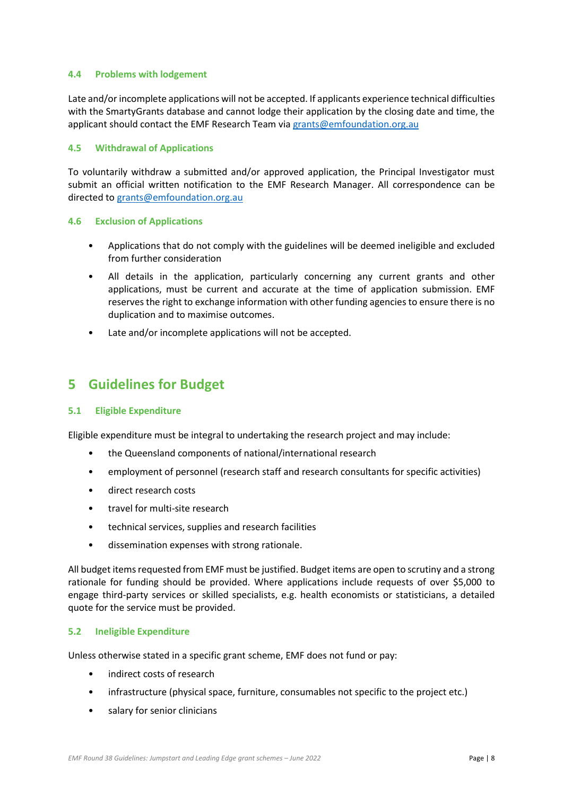### **4.4 Problems with lodgement**

Late and/or incomplete applications will not be accepted. If applicants experience technical difficulties with the SmartyGrants database and cannot lodge their application by the closing date and time, the applicant should contact the EMF Research Team via [grants@emfoundation.org.au](mailto:grants@emfoundation.org.au)

### **4.5 Withdrawal of Applications**

To voluntarily withdraw a submitted and/or approved application, the Principal Investigator must submit an official written notification to the EMF Research Manager. All correspondence can be directed t[o grants@emfoundation.org.au](mailto:grants@emfoundation.org.au)

## **4.6 Exclusion of Applications**

- Applications that do not comply with the guidelines will be deemed ineligible and excluded from further consideration
- All details in the application, particularly concerning any current grants and other applications, must be current and accurate at the time of application submission. EMF reserves the right to exchange information with other funding agencies to ensure there is no duplication and to maximise outcomes.
- Late and/or incomplete applications will not be accepted.

# <span id="page-7-0"></span>**5 Guidelines for Budget**

### **5.1 Eligible Expenditure**

Eligible expenditure must be integral to undertaking the research project and may include:

- the Queensland components of national/international research
- employment of personnel (research staff and research consultants for specific activities)
- direct research costs
- travel for multi-site research
- technical services, supplies and research facilities
- dissemination expenses with strong rationale.

All budget items requested from EMF must be justified. Budget items are open to scrutiny and a strong rationale for funding should be provided. Where applications include requests of over \$5,000 to engage third-party services or skilled specialists, e.g. health economists or statisticians, a detailed quote for the service must be provided.

### **5.2 Ineligible Expenditure**

Unless otherwise stated in a specific grant scheme, EMF does not fund or pay:

- indirect costs of research
- infrastructure (physical space, furniture, consumables not specific to the project etc.)
- salary for senior clinicians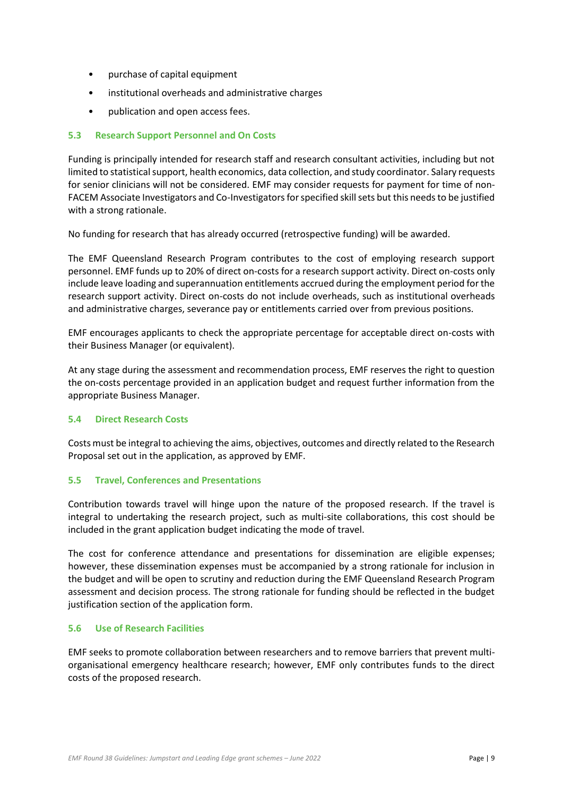- purchase of capital equipment
- institutional overheads and administrative charges
- publication and open access fees.

## **5.3 Research Support Personnel and On Costs**

Funding is principally intended for research staff and research consultant activities, including but not limited to statistical support, health economics, data collection, and study coordinator. Salary requests for senior clinicians will not be considered. EMF may consider requests for payment for time of non-FACEM Associate Investigators and Co-Investigators for specified skill sets but this needs to be justified with a strong rationale.

No funding for research that has already occurred (retrospective funding) will be awarded.

The EMF Queensland Research Program contributes to the cost of employing research support personnel. EMF funds up to 20% of direct on-costs for a research support activity. Direct on-costs only include leave loading and superannuation entitlements accrued during the employment period for the research support activity. Direct on-costs do not include overheads, such as institutional overheads and administrative charges, severance pay or entitlements carried over from previous positions.

EMF encourages applicants to check the appropriate percentage for acceptable direct on-costs with their Business Manager (or equivalent).

At any stage during the assessment and recommendation process, EMF reserves the right to question the on-costs percentage provided in an application budget and request further information from the appropriate Business Manager.

### **5.4 Direct Research Costs**

Costs must be integral to achieving the aims, objectives, outcomes and directly related to the Research Proposal set out in the application, as approved by EMF.

### **5.5 Travel, Conferences and Presentations**

Contribution towards travel will hinge upon the nature of the proposed research. If the travel is integral to undertaking the research project, such as multi-site collaborations, this cost should be included in the grant application budget indicating the mode of travel.

The cost for conference attendance and presentations for dissemination are eligible expenses; however, these dissemination expenses must be accompanied by a strong rationale for inclusion in the budget and will be open to scrutiny and reduction during the EMF Queensland Research Program assessment and decision process. The strong rationale for funding should be reflected in the budget justification section of the application form.

### **5.6 Use of Research Facilities**

EMF seeks to promote collaboration between researchers and to remove barriers that prevent multiorganisational emergency healthcare research; however, EMF only contributes funds to the direct costs of the proposed research.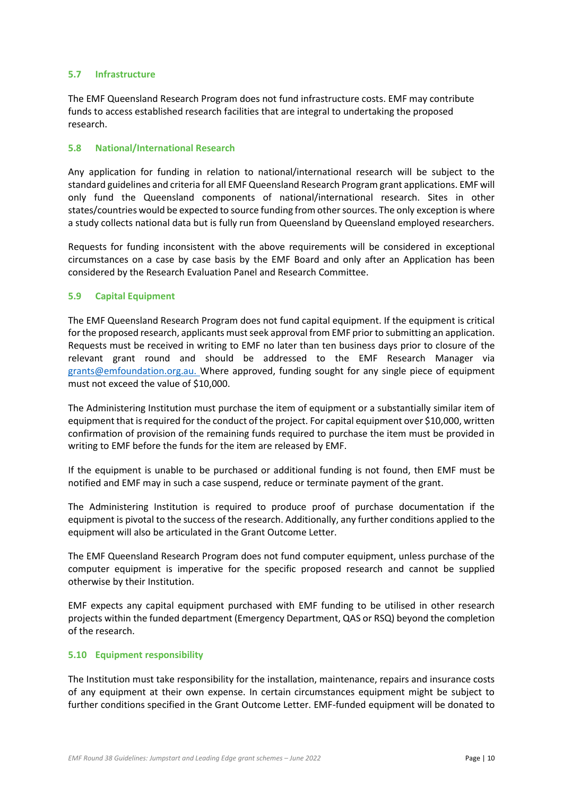### **5.7 Infrastructure**

The EMF Queensland Research Program does not fund infrastructure costs. EMF may contribute funds to access established research facilities that are integral to undertaking the proposed research.

### **5.8 National/International Research**

Any application for funding in relation to national/international research will be subject to the standard guidelines and criteria for all EMF Queensland Research Program grant applications. EMF will only fund the Queensland components of national/international research. Sites in other states/countries would be expected to source funding from other sources. The only exception is where a study collects national data but is fully run from Queensland by Queensland employed researchers.

Requests for funding inconsistent with the above requirements will be considered in exceptional circumstances on a case by case basis by the EMF Board and only after an Application has been considered by the Research Evaluation Panel and Research Committee.

## **5.9 Capital Equipment**

The EMF Queensland Research Program does not fund capital equipment. If the equipment is critical for the proposed research, applicants must seek approval from EMF prior to submitting an application. Requests must be received in writing to EMF no later than ten business days prior to closure of the relevant grant round and should be addressed to the EMF Research Manager via [grants@emfoundation.org.au.](mailto:grants@emfoundation.org.au) Where approved, funding sought for any single piece of equipment must not exceed the value of \$10,000.

The Administering Institution must purchase the item of equipment or a substantially similar item of equipment that is required for the conduct of the project. For capital equipment over \$10,000, written confirmation of provision of the remaining funds required to purchase the item must be provided in writing to EMF before the funds for the item are released by EMF.

If the equipment is unable to be purchased or additional funding is not found, then EMF must be notified and EMF may in such a case suspend, reduce or terminate payment of the grant.

The Administering Institution is required to produce proof of purchase documentation if the equipment is pivotal to the success of the research. Additionally, any further conditions applied to the equipment will also be articulated in the Grant Outcome Letter.

The EMF Queensland Research Program does not fund computer equipment, unless purchase of the computer equipment is imperative for the specific proposed research and cannot be supplied otherwise by their Institution.

EMF expects any capital equipment purchased with EMF funding to be utilised in other research projects within the funded department (Emergency Department, QAS or RSQ) beyond the completion of the research.

### **5.10 Equipment responsibility**

The Institution must take responsibility for the installation, maintenance, repairs and insurance costs of any equipment at their own expense. In certain circumstances equipment might be subject to further conditions specified in the Grant Outcome Letter. EMF-funded equipment will be donated to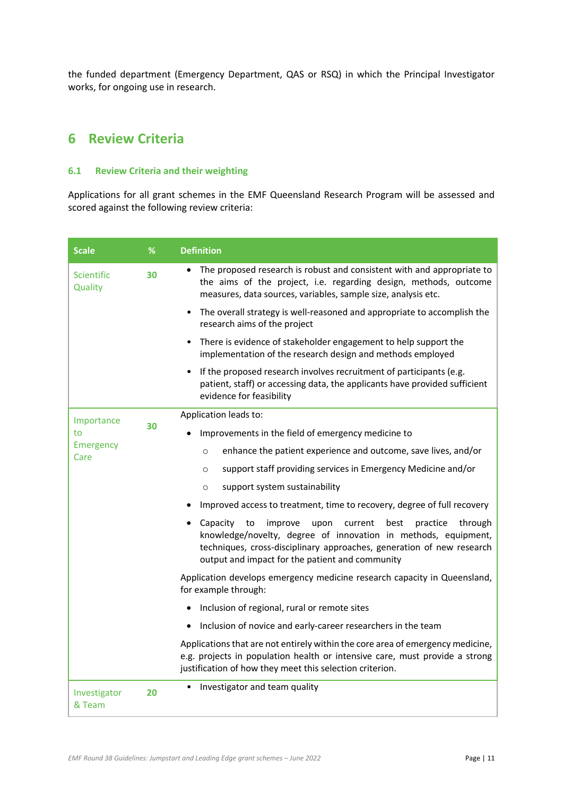the funded department (Emergency Department, QAS or RSQ) in which the Principal Investigator works, for ongoing use in research.

# <span id="page-10-0"></span>**6 Review Criteria**

## **6.1 Review Criteria and their weighting**

Applications for all grant schemes in the EMF Queensland Research Program will be assessed and scored against the following review criteria:

| <b>Scale</b>                 | %  | <b>Definition</b>                                                                                                                                                                                                                                                           |
|------------------------------|----|-----------------------------------------------------------------------------------------------------------------------------------------------------------------------------------------------------------------------------------------------------------------------------|
| <b>Scientific</b><br>Quality | 30 | The proposed research is robust and consistent with and appropriate to<br>the aims of the project, i.e. regarding design, methods, outcome<br>measures, data sources, variables, sample size, analysis etc.                                                                 |
|                              |    | The overall strategy is well-reasoned and appropriate to accomplish the<br>research aims of the project                                                                                                                                                                     |
|                              |    | • There is evidence of stakeholder engagement to help support the<br>implementation of the research design and methods employed                                                                                                                                             |
|                              |    | If the proposed research involves recruitment of participants (e.g.<br>patient, staff) or accessing data, the applicants have provided sufficient<br>evidence for feasibility                                                                                               |
| Importance                   |    | Application leads to:                                                                                                                                                                                                                                                       |
| to                           | 30 | Improvements in the field of emergency medicine to                                                                                                                                                                                                                          |
| Emergency<br>Care            |    | enhance the patient experience and outcome, save lives, and/or<br>$\circ$                                                                                                                                                                                                   |
|                              |    | support staff providing services in Emergency Medicine and/or<br>$\circ$                                                                                                                                                                                                    |
|                              |    | support system sustainability<br>$\circ$                                                                                                                                                                                                                                    |
|                              |    | Improved access to treatment, time to recovery, degree of full recovery                                                                                                                                                                                                     |
|                              |    | • Capacity<br>to<br>improve<br>current<br>best<br>practice<br>through<br>upon<br>knowledge/novelty, degree of innovation in methods, equipment,<br>techniques, cross-disciplinary approaches, generation of new research<br>output and impact for the patient and community |
|                              |    | Application develops emergency medicine research capacity in Queensland,<br>for example through:                                                                                                                                                                            |
|                              |    | Inclusion of regional, rural or remote sites                                                                                                                                                                                                                                |
|                              |    | Inclusion of novice and early-career researchers in the team<br>$\bullet$                                                                                                                                                                                                   |
|                              |    | Applications that are not entirely within the core area of emergency medicine,<br>e.g. projects in population health or intensive care, must provide a strong<br>justification of how they meet this selection criterion.                                                   |
| Investigator<br>& Team       | 20 | Investigator and team quality<br>$\bullet$                                                                                                                                                                                                                                  |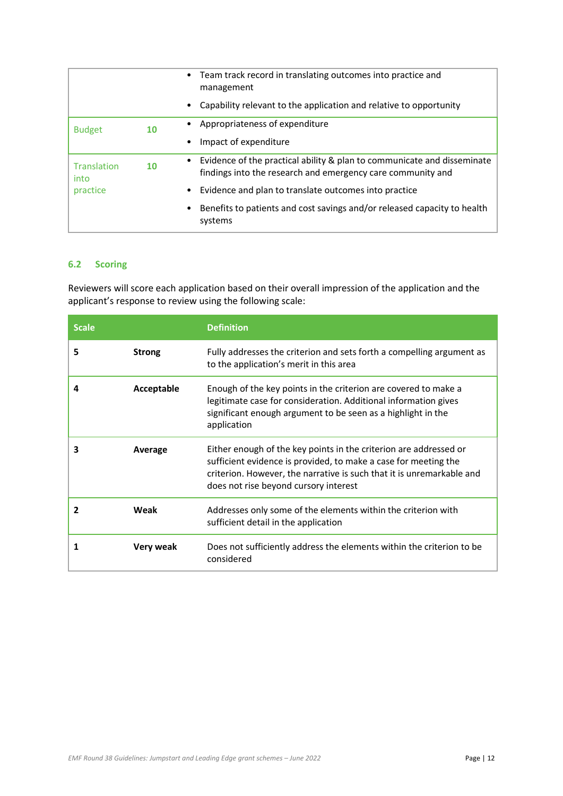|                            |    | Team track record in translating outcomes into practice and<br>management                                                                           |
|----------------------------|----|-----------------------------------------------------------------------------------------------------------------------------------------------------|
|                            |    | Capability relevant to the application and relative to opportunity                                                                                  |
| <b>Budget</b>              | 10 | Appropriateness of expenditure                                                                                                                      |
|                            |    | Impact of expenditure                                                                                                                               |
| <b>Translation</b><br>into | 10 | Evidence of the practical ability & plan to communicate and disseminate<br>$\bullet$<br>findings into the research and emergency care community and |
| practice                   |    | Evidence and plan to translate outcomes into practice                                                                                               |
|                            |    | Benefits to patients and cost savings and/or released capacity to health<br>systems                                                                 |

## **6.2 Scoring**

Reviewers will score each application based on their overall impression of the application and the applicant's response to review using the following scale:

| <b>Scale</b> |               | <b>Definition</b>                                                                                                                                                                                                                                      |
|--------------|---------------|--------------------------------------------------------------------------------------------------------------------------------------------------------------------------------------------------------------------------------------------------------|
| 5            | <b>Strong</b> | Fully addresses the criterion and sets forth a compelling argument as<br>to the application's merit in this area                                                                                                                                       |
| 4            | Acceptable    | Enough of the key points in the criterion are covered to make a<br>legitimate case for consideration. Additional information gives<br>significant enough argument to be seen as a highlight in the<br>application                                      |
| 3            | Average       | Either enough of the key points in the criterion are addressed or<br>sufficient evidence is provided, to make a case for meeting the<br>criterion. However, the narrative is such that it is unremarkable and<br>does not rise beyond cursory interest |
| 2            | Weak          | Addresses only some of the elements within the criterion with<br>sufficient detail in the application                                                                                                                                                  |
| 1            | Very weak     | Does not sufficiently address the elements within the criterion to be<br>considered                                                                                                                                                                    |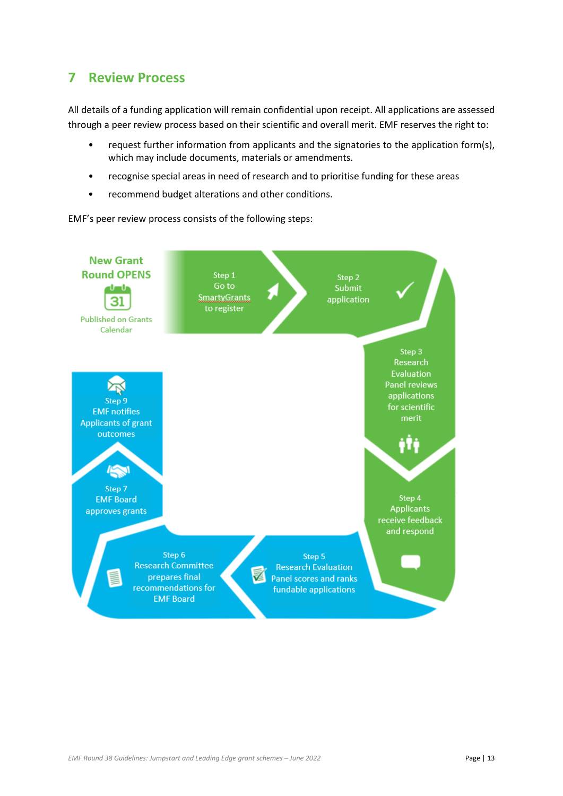# <span id="page-12-0"></span>**7 Review Process**

All details of a funding application will remain confidential upon receipt. All applications are assessed through a peer review process based on their scientific and overall merit. EMF reserves the right to:

- request further information from applicants and the signatories to the application form(s), which may include documents, materials or amendments.
- recognise special areas in need of research and to prioritise funding for these areas
- recommend budget alterations and other conditions.

EMF's peer review process consists of the following steps:

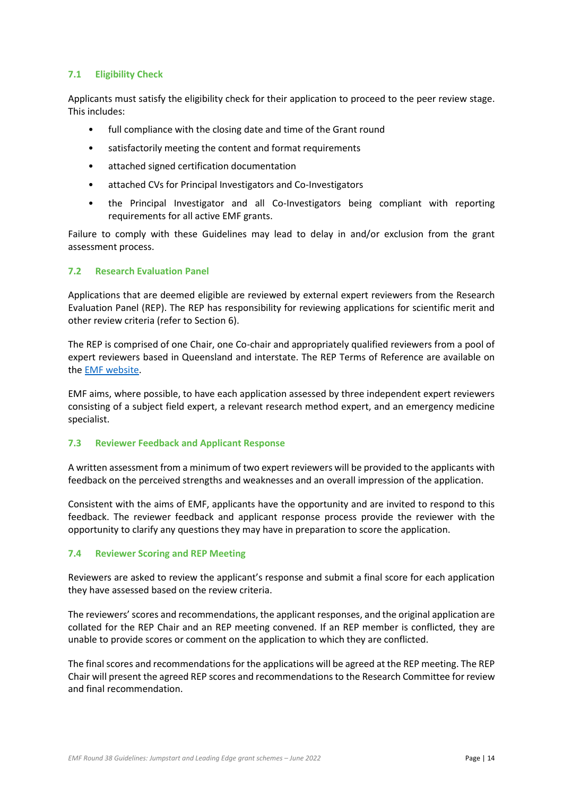## **7.1 Eligibility Check**

Applicants must satisfy the eligibility check for their application to proceed to the peer review stage. This includes:

- full compliance with the closing date and time of the Grant round
- satisfactorily meeting the content and format requirements
- attached signed certification documentation
- attached CVs for Principal Investigators and Co-Investigators
- the Principal Investigator and all Co-Investigators being compliant with reporting requirements for all active EMF grants.

Failure to comply with these Guidelines may lead to delay in and/or exclusion from the grant assessment process.

### **7.2 Research Evaluation Panel**

Applications that are deemed eligible are reviewed by external expert reviewers from the Research Evaluation Panel (REP). The REP has responsibility for reviewing applications for scientific merit and other review criteria (refer to Section [6\)](#page-10-0).

The REP is comprised of one Chair, one Co-chair and appropriately qualified reviewers from a pool of expert reviewers based in Queensland and interstate. The REP Terms of Reference are available on th[e EMF website.](https://emergencyfoundation.org.au/about-us/our-committees/)

EMF aims, where possible, to have each application assessed by three independent expert reviewers consisting of a subject field expert, a relevant research method expert, and an emergency medicine specialist.

### **7.3 Reviewer Feedback and Applicant Response**

A written assessment from a minimum of two expert reviewers will be provided to the applicants with feedback on the perceived strengths and weaknesses and an overall impression of the application.

Consistent with the aims of EMF, applicants have the opportunity and are invited to respond to this feedback. The reviewer feedback and applicant response process provide the reviewer with the opportunity to clarify any questions they may have in preparation to score the application.

### **7.4 Reviewer Scoring and REP Meeting**

Reviewers are asked to review the applicant's response and submit a final score for each application they have assessed based on the review criteria.

The reviewers' scores and recommendations, the applicant responses, and the original application are collated for the REP Chair and an REP meeting convened. If an REP member is conflicted, they are unable to provide scores or comment on the application to which they are conflicted.

The final scores and recommendations for the applications will be agreed at the REP meeting. The REP Chair will present the agreed REP scores and recommendations to the Research Committee for review and final recommendation.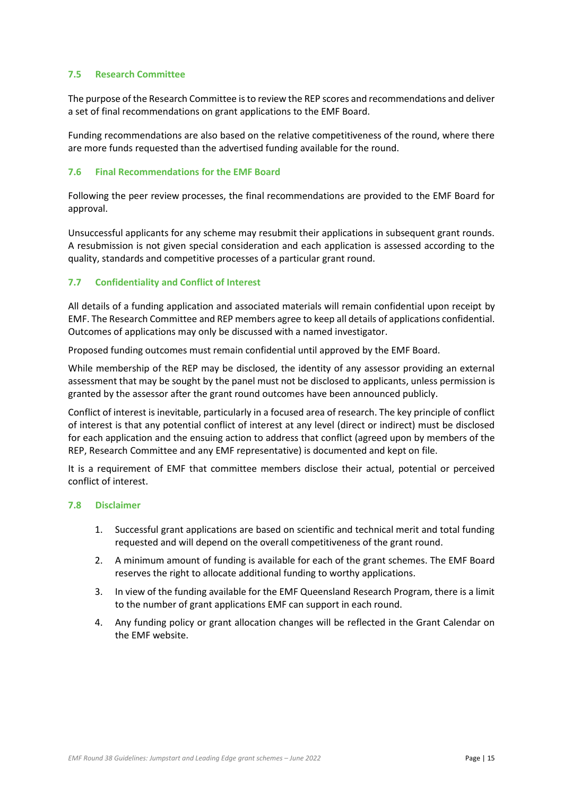### **7.5 Research Committee**

The purpose of the Research Committee is to review the REP scores and recommendations and deliver a set of final recommendations on grant applications to the EMF Board.

Funding recommendations are also based on the relative competitiveness of the round, where there are more funds requested than the advertised funding available for the round.

### **7.6 Final Recommendations for the EMF Board**

Following the peer review processes, the final recommendations are provided to the EMF Board for approval.

Unsuccessful applicants for any scheme may resubmit their applications in subsequent grant rounds. A resubmission is not given special consideration and each application is assessed according to the quality, standards and competitive processes of a particular grant round.

## **7.7 Confidentiality and Conflict of Interest**

All details of a funding application and associated materials will remain confidential upon receipt by EMF. The Research Committee and REP members agree to keep all details of applications confidential. Outcomes of applications may only be discussed with a named investigator.

Proposed funding outcomes must remain confidential until approved by the EMF Board.

While membership of the REP may be disclosed, the identity of any assessor providing an external assessment that may be sought by the panel must not be disclosed to applicants, unless permission is granted by the assessor after the grant round outcomes have been announced publicly.

Conflict of interest is inevitable, particularly in a focused area of research. The key principle of conflict of interest is that any potential conflict of interest at any level (direct or indirect) must be disclosed for each application and the ensuing action to address that conflict (agreed upon by members of the REP, Research Committee and any EMF representative) is documented and kept on file.

It is a requirement of EMF that committee members disclose their actual, potential or perceived conflict of interest.

#### **7.8 Disclaimer**

- 1. Successful grant applications are based on scientific and technical merit and total funding requested and will depend on the overall competitiveness of the grant round.
- 2. A minimum amount of funding is available for each of the grant schemes. The EMF Board reserves the right to allocate additional funding to worthy applications.
- 3. In view of the funding available for the EMF Queensland Research Program, there is a limit to the number of grant applications EMF can support in each round.
- 4. Any funding policy or grant allocation changes will be reflected in the Grant Calendar on the EMF website.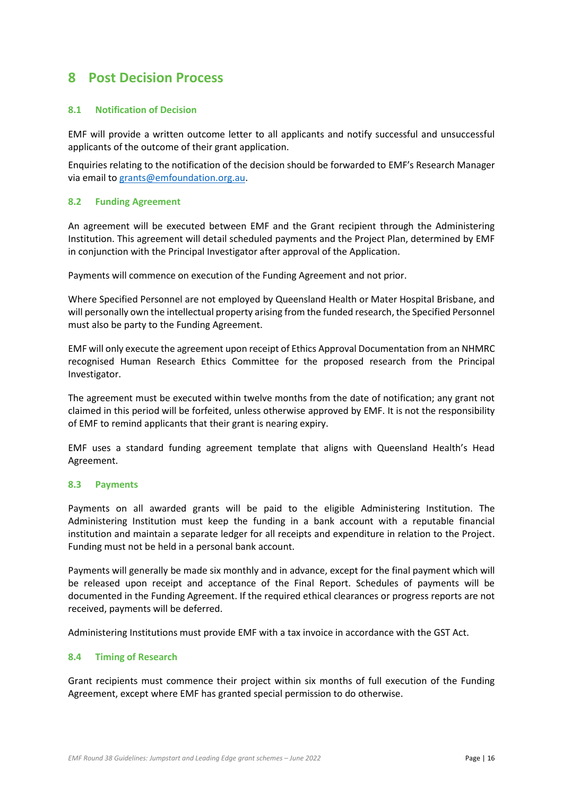# <span id="page-15-0"></span>**8 Post Decision Process**

### **8.1 Notification of Decision**

EMF will provide a written outcome letter to all applicants and notify successful and unsuccessful applicants of the outcome of their grant application.

Enquiries relating to the notification of the decision should be forwarded to EMF's Research Manager via email to [grants@emfoundation.org.au.](mailto:grants@emfoundation.org.au)

#### **8.2 Funding Agreement**

An agreement will be executed between EMF and the Grant recipient through the Administering Institution. This agreement will detail scheduled payments and the Project Plan, determined by EMF in conjunction with the Principal Investigator after approval of the Application.

Payments will commence on execution of the Funding Agreement and not prior.

Where Specified Personnel are not employed by Queensland Health or Mater Hospital Brisbane, and will personally own the intellectual property arising from the funded research, the Specified Personnel must also be party to the Funding Agreement.

EMF will only execute the agreement upon receipt of Ethics Approval Documentation from an NHMRC recognised Human Research Ethics Committee for the proposed research from the Principal Investigator.

The agreement must be executed within twelve months from the date of notification; any grant not claimed in this period will be forfeited, unless otherwise approved by EMF. It is not the responsibility of EMF to remind applicants that their grant is nearing expiry.

EMF uses a standard funding agreement template that aligns with Queensland Health's Head Agreement.

#### **8.3 Payments**

Payments on all awarded grants will be paid to the eligible Administering Institution. The Administering Institution must keep the funding in a bank account with a reputable financial institution and maintain a separate ledger for all receipts and expenditure in relation to the Project. Funding must not be held in a personal bank account.

Payments will generally be made six monthly and in advance, except for the final payment which will be released upon receipt and acceptance of the Final Report. Schedules of payments will be documented in the Funding Agreement. If the required ethical clearances or progress reports are not received, payments will be deferred.

Administering Institutions must provide EMF with a tax invoice in accordance with the GST Act.

### **8.4 Timing of Research**

Grant recipients must commence their project within six months of full execution of the Funding Agreement, except where EMF has granted special permission to do otherwise.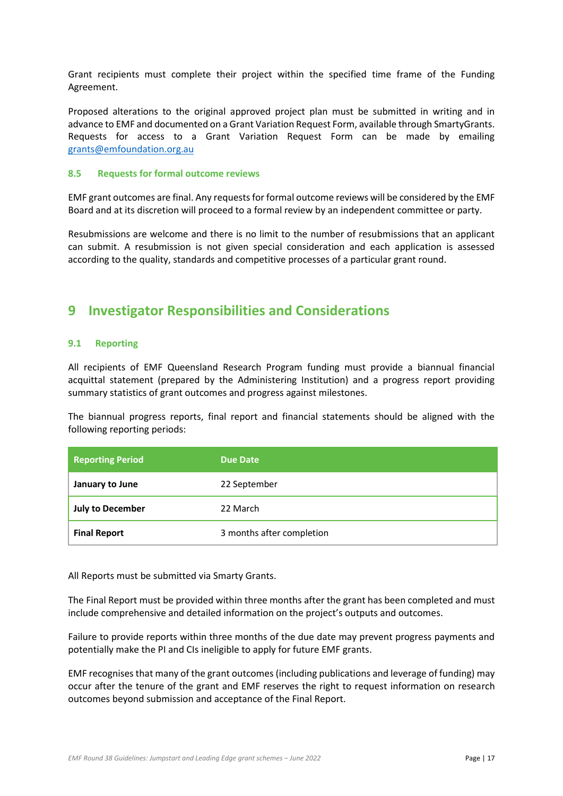Grant recipients must complete their project within the specified time frame of the Funding Agreement.

Proposed alterations to the original approved project plan must be submitted in writing and in advance to EMF and documented on a Grant Variation Request Form, available through SmartyGrants. Requests for access to a Grant Variation Request Form can be made by emailing [grants@emfoundation.org.au](mailto:grants@emfoundation.org.au)

#### **8.5 Requests for formal outcome reviews**

EMF grant outcomes are final. Any requests for formal outcome reviews will be considered by the EMF Board and at its discretion will proceed to a formal review by an independent committee or party.

Resubmissions are welcome and there is no limit to the number of resubmissions that an applicant can submit. A resubmission is not given special consideration and each application is assessed according to the quality, standards and competitive processes of a particular grant round.

# <span id="page-16-0"></span>**9 Investigator Responsibilities and Considerations**

### **9.1 Reporting**

All recipients of EMF Queensland Research Program funding must provide a biannual financial acquittal statement (prepared by the Administering Institution) and a progress report providing summary statistics of grant outcomes and progress against milestones.

The biannual progress reports, final report and financial statements should be aligned with the following reporting periods:

| <b>Reporting Period</b> | <b>Due Date</b>           |
|-------------------------|---------------------------|
| January to June         | 22 September              |
| <b>July to December</b> | 22 March                  |
| <b>Final Report</b>     | 3 months after completion |

All Reports must be submitted via Smarty Grants.

The Final Report must be provided within three months after the grant has been completed and must include comprehensive and detailed information on the project's outputs and outcomes.

Failure to provide reports within three months of the due date may prevent progress payments and potentially make the PI and CIs ineligible to apply for future EMF grants.

EMF recognises that many of the grant outcomes (including publications and leverage of funding) may occur after the tenure of the grant and EMF reserves the right to request information on research outcomes beyond submission and acceptance of the Final Report.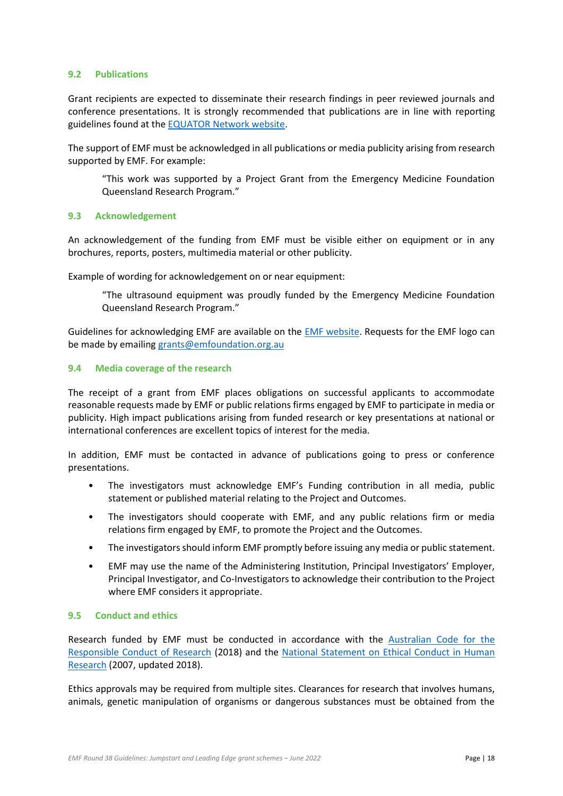### **9.2 Publications**

Grant recipients are expected to disseminate their research findings in peer reviewed journals and conference presentations. It is strongly recommended that publications are in line with reporting guidelines found at th[e EQUATOR Network website.](https://www.equator-network.org/)

The support of EMF must be acknowledged in all publications or media publicity arising from research supported by EMF. For example:

"This work was supported by a Project Grant from the Emergency Medicine Foundation Queensland Research Program."

#### **9.3 Acknowledgement**

An acknowledgement of the funding from EMF must be visible either on equipment or in any brochures, reports, posters, multimedia material or other publicity.

Example of wording for acknowledgement on or near equipment:

"The ultrasound equipment was proudly funded by the Emergency Medicine Foundation Queensland Research Program."

Guidelines for acknowledging EMF are available on the [EMF website.](http://emergencyfoundation.org.au/wp-content/uploads/2017/11/EMF_Acknowledgement-Guide_081117.pdf) Requests for the EMF logo can be made by emailing [grants@emfoundation.org.au](mailto:grants@emfoundation.org.au)

#### **9.4 Media coverage of the research**

The receipt of a grant from EMF places obligations on successful applicants to accommodate reasonable requests made by EMF or public relations firms engaged by EMF to participate in media or publicity. High impact publications arising from funded research or key presentations at national or international conferences are excellent topics of interest for the media.

In addition, EMF must be contacted in advance of publications going to press or conference presentations.

- The investigators must acknowledge EMF's Funding contribution in all media, public statement or published material relating to the Project and Outcomes.
- The investigators should cooperate with EMF, and any public relations firm or media relations firm engaged by EMF, to promote the Project and the Outcomes.
- The investigators should inform EMF promptly before issuing any media or public statement.
- EMF may use the name of the Administering Institution, Principal Investigators' Employer, Principal Investigator, and Co-Investigators to acknowledge their contribution to the Project where EMF considers it appropriate.

### **9.5 Conduct and ethics**

Research funded by EMF must be conducted in accordance with the [Australian Code for the](https://nhmrc.gov.au/about-us/publications/australian-code-responsible-conduct-research-2018)  [Responsible Conduct of Research](https://nhmrc.gov.au/about-us/publications/australian-code-responsible-conduct-research-2018) (2018) and the [National Statement on Ethical Conduct in Human](https://nhmrc.gov.au/about-us/publications/national-statement-ethical-conduct-human-research-2007-updated-2018)  [Research](https://nhmrc.gov.au/about-us/publications/national-statement-ethical-conduct-human-research-2007-updated-2018) (2007, updated 2018).

Ethics approvals may be required from multiple sites. Clearances for research that involves humans, animals, genetic manipulation of organisms or dangerous substances must be obtained from the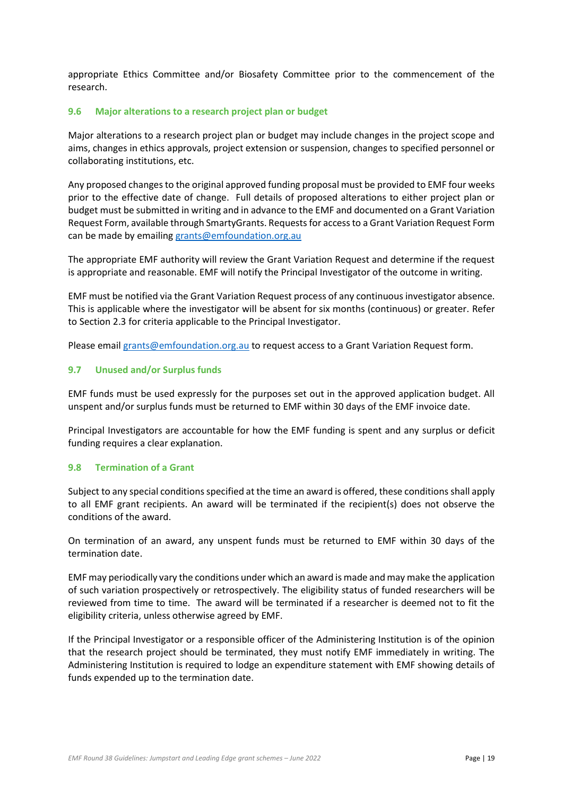appropriate Ethics Committee and/or Biosafety Committee prior to the commencement of the research.

### <span id="page-18-0"></span>**9.6 Major alterations to a research project plan or budget**

Major alterations to a research project plan or budget may include changes in the project scope and aims, changes in ethics approvals, project extension or suspension, changes to specified personnel or collaborating institutions, etc.

Any proposed changes to the original approved funding proposal must be provided to EMF four weeks prior to the effective date of change. Full details of proposed alterations to either project plan or budget must be submitted in writing and in advance to the EMF and documented on a Grant Variation Request Form, available through SmartyGrants. Requests for access to a Grant Variation Request Form can be made by emailin[g grants@emfoundation.org.au](mailto:grants@emfoundation.org.au)

The appropriate EMF authority will review the Grant Variation Request and determine if the request is appropriate and reasonable. EMF will notify the Principal Investigator of the outcome in writing.

EMF must be notified via the Grant Variation Request process of any continuous investigator absence. This is applicable where the investigator will be absent for six months (continuous) or greater. Refer to Sectio[n 2.3](#page-3-1) for criteria applicable to the Principal Investigator.

Please email [grants@emfoundation.org.au](mailto:grants@emfoundation.org.au) to request access to a Grant Variation Request form.

### **9.7 Unused and/or Surplus funds**

EMF funds must be used expressly for the purposes set out in the approved application budget. All unspent and/or surplus funds must be returned to EMF within 30 days of the EMF invoice date.

Principal Investigators are accountable for how the EMF funding is spent and any surplus or deficit funding requires a clear explanation.

#### **9.8 Termination of a Grant**

Subject to any special conditions specified at the time an award is offered, these conditions shall apply to all EMF grant recipients. An award will be terminated if the recipient(s) does not observe the conditions of the award.

On termination of an award, any unspent funds must be returned to EMF within 30 days of the termination date.

EMF may periodically vary the conditions under which an award is made and may make the application of such variation prospectively or retrospectively. The eligibility status of funded researchers will be reviewed from time to time. The award will be terminated if a researcher is deemed not to fit the eligibility criteria, unless otherwise agreed by EMF.

If the Principal Investigator or a responsible officer of the Administering Institution is of the opinion that the research project should be terminated, they must notify EMF immediately in writing. The Administering Institution is required to lodge an expenditure statement with EMF showing details of funds expended up to the termination date.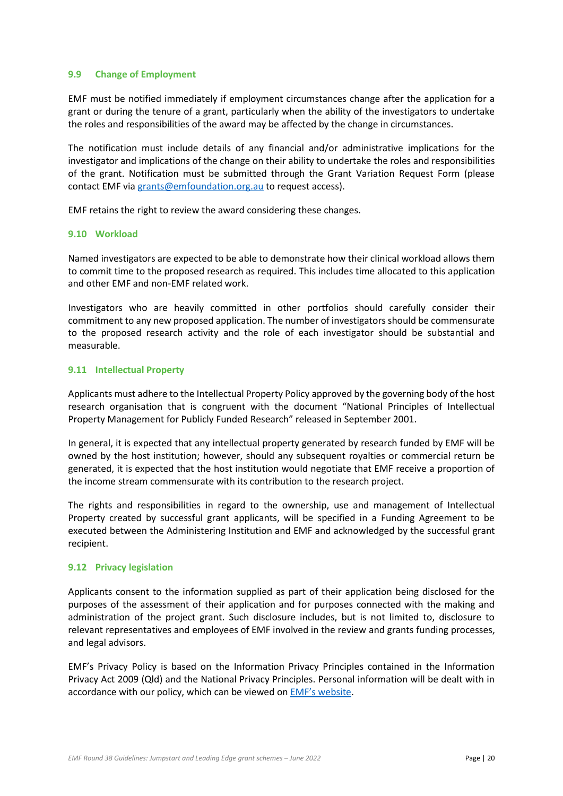#### **9.9 Change of Employment**

EMF must be notified immediately if employment circumstances change after the application for a grant or during the tenure of a grant, particularly when the ability of the investigators to undertake the roles and responsibilities of the award may be affected by the change in circumstances.

The notification must include details of any financial and/or administrative implications for the investigator and implications of the change on their ability to undertake the roles and responsibilities of the grant. Notification must be submitted through the Grant Variation Request Form (please contact EMF vi[a grants@emfoundation.org.au](mailto:grants@emfoundation.org.au) to request access).

EMF retains the right to review the award considering these changes.

#### **9.10 Workload**

Named investigators are expected to be able to demonstrate how their clinical workload allows them to commit time to the proposed research as required. This includes time allocated to this application and other EMF and non-EMF related work.

Investigators who are heavily committed in other portfolios should carefully consider their commitment to any new proposed application. The number of investigators should be commensurate to the proposed research activity and the role of each investigator should be substantial and measurable.

#### **9.11 Intellectual Property**

Applicants must adhere to the Intellectual Property Policy approved by the governing body of the host research organisation that is congruent with the document "National Principles of Intellectual Property Management for Publicly Funded Research" released in September 2001.

In general, it is expected that any intellectual property generated by research funded by EMF will be owned by the host institution; however, should any subsequent royalties or commercial return be generated, it is expected that the host institution would negotiate that EMF receive a proportion of the income stream commensurate with its contribution to the research project.

The rights and responsibilities in regard to the ownership, use and management of Intellectual Property created by successful grant applicants, will be specified in a Funding Agreement to be executed between the Administering Institution and EMF and acknowledged by the successful grant recipient.

### **9.12 Privacy legislation**

Applicants consent to the information supplied as part of their application being disclosed for the purposes of the assessment of their application and for purposes connected with the making and administration of the project grant. Such disclosure includes, but is not limited to, disclosure to relevant representatives and employees of EMF involved in the review and grants funding processes, and legal advisors.

EMF's Privacy Policy is based on the Information Privacy Principles contained in the Information Privacy Act 2009 (Qld) and the National Privacy Principles. Personal information will be dealt with in accordance with our policy, which can be viewed on [EMF's website](http://emergencyfoundation.org.au/privacy-policy/).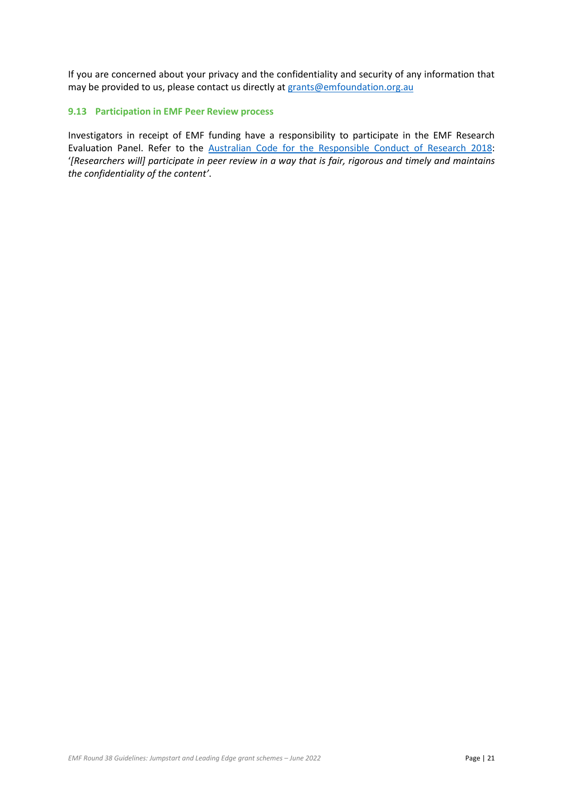If you are concerned about your privacy and the confidentiality and security of any information that may be provided to us, please contact us directly at [grants@emfoundation.org.au](mailto:grants@emfoundation.org.au)

### **9.13 Participation in EMF Peer Review process**

Investigators in receipt of EMF funding have a responsibility to participate in the EMF Research Evaluation Panel. Refer to the [Australian Code for the Responsible Conduct of Research 2018:](https://www.nhmrc.gov.au/about-us/publications/australian-code-responsible-conduct-research-2018) '*[Researchers will] participate in peer review in a way that is fair, rigorous and timely and maintains the confidentiality of the content'*.